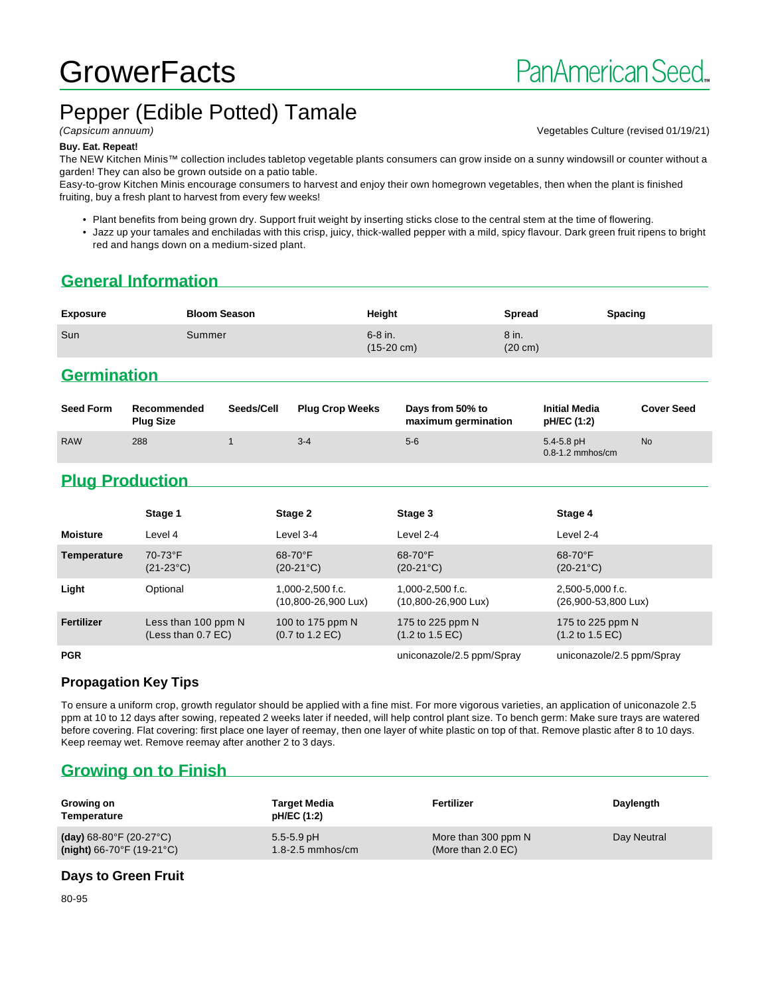# **GrowerFacts**

# Pepper (Edible Potted) Tamale

(Capsicum annuum) Vegetables Culture (revised 01/19/21)

#### **Buy. Eat. Repeat!**

The NEW Kitchen Minis™ collection includes tabletop vegetable plants consumers can grow inside on a sunny windowsill or counter without a garden! They can also be grown outside on a patio table.

Easy-to-grow Kitchen Minis encourage consumers to harvest and enjoy their own homegrown vegetables, then when the plant is finished fruiting, buy a fresh plant to harvest from every few weeks!

• Plant benefits from being grown dry. Support fruit weight by inserting sticks close to the central stem at the time of flowering.

• Jazz up your tamales and enchiladas with this crisp, juicy, thick-walled pepper with a mild, spicy flavour. Dark green fruit ripens to bright red and hangs down on a medium-sized plant.

# **General Information**

| <b>Exposure</b> | <b>Bloom Season</b> | Height                            | <b>Spread</b>              | <b>Spacing</b> |
|-----------------|---------------------|-----------------------------------|----------------------------|----------------|
| Sun             | Summer              | $6-8$ in.<br>$(15-20 \text{ cm})$ | 8 in.<br>$(20 \text{ cm})$ |                |

## **Germination**

| <b>Seed Form</b> | Recommended<br><b>Plug Size</b> | Seeds/Cell | <b>Plug Crop Weeks</b> | Days from 50% to<br>maximum germination | <b>Initial Media</b><br>pH/EC (1:2)    | <b>Cover Seed</b> |
|------------------|---------------------------------|------------|------------------------|-----------------------------------------|----------------------------------------|-------------------|
| <b>RAW</b>       | 288                             |            | $3 - 4$                | $5-6$                                   | $5.4 - 5.8$ pH<br>$0.8 - 1.2$ mmhos/cm | <b>No</b>         |

# **Plug Production**

|                 | Stage 1                                     | Stage 2                                                 | Stage 3                                                 | Stage 4                                                |
|-----------------|---------------------------------------------|---------------------------------------------------------|---------------------------------------------------------|--------------------------------------------------------|
| <b>Moisture</b> | Level 4                                     | Level 3-4                                               | Level 2-4                                               | Level 2-4                                              |
| Temperature     | 70-73°F<br>$(21-23°C)$                      | $68-70$ °F<br>$(20-21^{\circ}C)$                        | 68-70°F<br>$(20-21^{\circ}C)$                           | $68-70$ °F<br>$(20-21^{\circ}C)$                       |
| Light           | Optional                                    | $1.000 - 2.500$ f.c.<br>$(10,800 - 26,900 \text{ Lux})$ | $1.000 - 2.500$ f.c.<br>$(10,800 - 26,900 \text{ Lux})$ | 2.500-5.000 f.c.<br>$(26,900 - 53,800 \text{ Lux})$    |
| Fertilizer      | Less than 100 ppm N<br>(Less than $0.7$ EC) | 100 to 175 ppm N<br>$(0.7 \text{ to } 1.2 \text{ EC})$  | 175 to 225 ppm N<br>$(1.2 \text{ to } 1.5 \text{ EC})$  | 175 to 225 ppm N<br>$(1.2 \text{ to } 1.5 \text{ EC})$ |
| <b>PGR</b>      |                                             |                                                         | uniconazole/2.5 ppm/Spray                               | uniconazole/2.5 ppm/Spray                              |

#### **Propagation Key Tips**

To ensure a uniform crop, growth regulator should be applied with a fine mist. For more vigorous varieties, an application of uniconazole 2.5 ppm at 10 to 12 days after sowing, repeated 2 weeks later if needed, will help control plant size. To bench germ: Make sure trays are watered before covering. Flat covering: first place one layer of reemay, then one layer of white plastic on top of that. Remove plastic after 8 to 10 days. Keep reemay wet. Remove reemay after another 2 to 3 days.

# **Growing on to Finish**

| Growing on<br>Temperature                    | Target Media<br>pH/EC (1:2) | Fertilizer           | Daylength   |
|----------------------------------------------|-----------------------------|----------------------|-------------|
| (day) $68-80^{\circ}$ F (20-27 $^{\circ}$ C) | $5.5 - 5.9$ pH              | More than 300 ppm N  | Day Neutral |
| $(night)$ 66-70°F (19-21°C)                  | $1.8 - 2.5$ mmhos/cm        | (More than $2.0$ EC) |             |

#### **Days to Green Fruit**

80-95